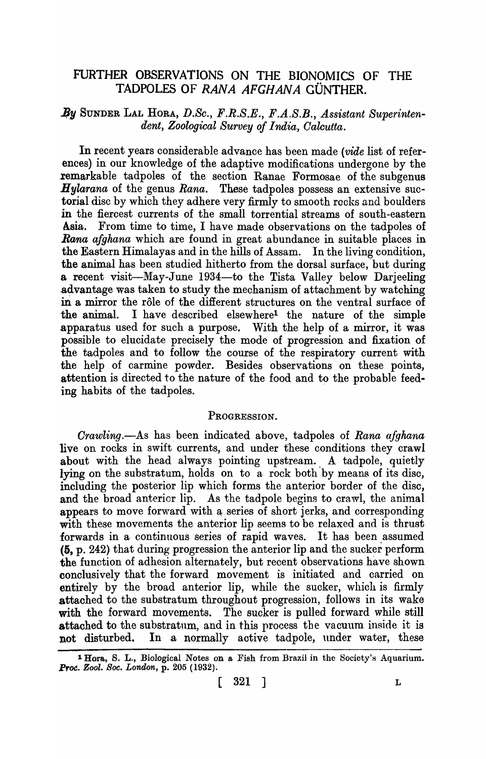# FURTHER OBSERVATIONS ON THE BIONOMICS OF THE TADPOLES OF RANA AFGHANA GÜNTHER.

## By SUNDER LAL HORA, D.Sc., F.R.S.E., F.A.S.B., Assistant Superinten*dent, Zoological Survey of India, Calcutta.*

In recent years considerable advance has been made *(vide* list of references) in our knowledge of the adaptive modifications undergone by the .remarkable tadpoles of the section Ranae Formosae of the subgenus *Hylarana* of the genus *Rana.* These tadpoles possess an extensive suctorial disc by which they adhere very firmly to smooth reeks and boulders in the fiercest currents of the small torrential streams of south-eastern Asia. From time to time, I have made observations on the tadpoles of *Rana afghana* which are found in great abundance in suitable places in the Eastern Himalayas and in the hills of Assam. In the living condition, the animal has been studied hitherto from the dorsal surface, but during a recent visit-May-June 1934-to the Tista Valley below Darjeeling advantage was taken to study the mechanism of attachment by watching in a mirror the rôle of the different structures on the ventral surface of the animal. I have described elsewhere! the nature of the simple apparatus used for such a purpose. With the help of a mirror, it was possible to elucidate precisely the mode of progression and fixation of the tadpoles and to follow the course of the respiratory current with the help of carmine powder. Besides observations on these points, attention is directed to the nature of the food and to the probable feeding habits of the tadpoles.

## PROGRESSION.

*Orawling.-As* has. been indicated above, tadpoles of *Rana afghana*  live on rocks in swift currents, and under these conditions they crawl about with the head always pointing upstream. A tadpole, quietly lying on the substratum, holds on to a rock both by means of its disc, including the posterior lip which forms the anterior border of the disc, and the broad anterior lip. As the tadpole begins to crawl, the animal appears to move forward with a series of short jerks, and corresponding with these movements the anterior lip seems to be relaxed and is thrust forwards in a continuous series of rapid waves. It has been assumed (5, p. 242) that during progression the anterior lip and the sucker perform the function of adhesion alternately, but recent observations have shown conclusively that the forward movement is initiated and carried on entirely by the broad anterior lip, while the sucker, which is firmly attached to the substratum throughout progression, follows in its wake with the forward movements. The sucker is pulled forward while still attached to the substratum, and in this process the vacuum inside it is not disturbed. In a normally active tadpole, under water, these

<sup>&</sup>lt;sup>1</sup>Hora, S. L., Biological Notes on a Fish from Brazil in the Society's Aquarium. *Prot!. Zool. Soc. London,* p. 205 (1932).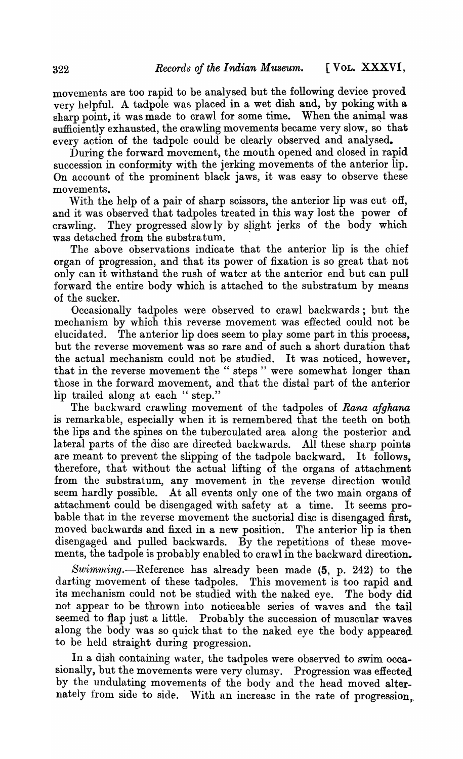movements are too rapid to be analysed but the following device proved very helpful. A tadpole was placed in a wet dish and, by poking with a sharp point, it was made to crawl for some time. When the animal was sufficiently exhausted, the crawling movements became very slow, so that every action of the tadpole could be clearly observed and analysed.

During the forward movement, the mouth opened and closed in rapid succession in conformity with the jerking movements of the anterior lip. On account of the prominent black jaws, it was easy to observe these movements.

With the help of a pair of sharp scissors, the anterior lip was cut off, and it was observed that tadpoles treated in this way lost the power of crawling. They progressed slow ly by slight jerks of the body which was detached from the substratum.

The above observations indicate that the anterior lip is the chief organ of progression, and that its power of fixation is so great that not only can it withstand the rush of water at the anterior end but can pull forward the entire body which is attached to the substratum by means of the sucker.

Occasionally tadpoles were observed to crawl backwards; but the mechanism by which this reverse movement was effected could not be elucidated. The anterior lip does seem to play some part in this process, but the reverse movement was so rare and of such a short duration that the actual mechanism could not be studied. It was noticed, however, that in the reverse movement the " steps" were somewhat longer than those in the forward movement, and that the distal part of the anterior lip trailed along at each " step."

The backward crawling movement of the tadpoles of *Rana afghana*  is remarkable, especially when it is remembered that the teeth on both the lips and the spines on the tuberculated area along the posterior and lateral parts of the disc are directed backwards. All these sharp points are meant to prevent the slipping of the tadpole backward. It follows, therefore, that without the actual lifting of the organs of attachment from the substratum, any movement in the reverse direction would seem hardly possible. At all events only one of the two main organs of attachment could be disengaged with safety at a time. It seems probable that in the reverse movement the suctorial disc is disengaged first, moved backwards and fixed in a new position. The anterior lip is then disengaged and pulled backwards. By the repetitions of these movements, the tadpole is probably enabled to crawl in the backward direction.

Swimming.--Reference has already been made  $(5, p. 242)$  to the darting movement of these tadpoles. This movement is too rapid and its mechanism could not be studied with the naked eye. The body did not appear to be thrown into noticeable series of waves and the tail seemed to flap just a little. Probably the succession of muscular waves along the body was so quick that to the naked eye the body appeared to be held straight during progression.

In a dish containing water, the tadpoles were observed to swim occasionally, but the movements were very clumsy. Progression was effected by the undulating movements of the body and the head moved alternately from side to side. With an increase in the rate of progression.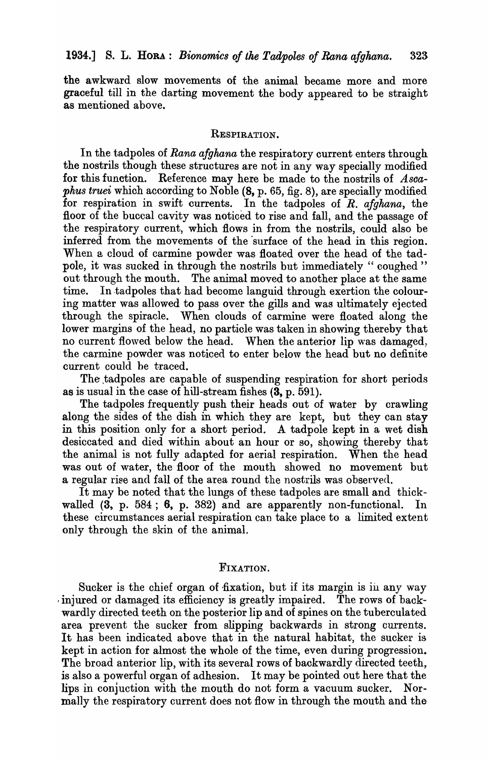the awkward slow movements of the animal became more and more graoeful till in the darting movement the body appeared to be straight as mentioned above.

#### RESPIRATION.

In the tadpoles of *Rana afghana* the respiratory current enters through the nostrils though these structures are not in any way specially modified for this function. Reference may here be made to the nostrils of *Ascaphus truei* which according to Noble (8, p. 65, fig. 8), are specially modified for respiration in swift currents. In the tadpoles of *R. afghana*, the floor of the buccal cavity was noticed to rise and fall, and the passage of the respiratory current, which flows in from the nostrils, could also be inferred from the movements of the 'surface of the head in this region. When a cloud of carmine powder was floated over the head of the tadpole, it was sucked in through the nostrils but immediately "coughed" out through the mouth. The animal moved to another place at the same time. In tadpoles that had become languid through exertion the colouring matter was allowed to pass over the gills and was ultimately ejected through the spiracle. When clouds of carmine were floated along the lower margins of the head, no particle was taken in showing thereby that no current flowed below the head. When the anterior lip was damaged, the carmine powder was noticed to enter below the head but no definite current could be traced.

The .tadpoles are capable of suspending respiration for short periods as is usual in the case of hill-stream fishes (3, p. 591).

The tadpoles frequently push their heads out of water by crawling along the sides of the dish in which they are kept, but they can stay in this position only for a short period. A tadpole kept in a wet dish desiccated and died within about an hour or so, showing thereby that the animal is not fully adapted for aerial respiration. When the head was out of water, the floor of the mouth showed no movement but a regular rise and fall of the area round the nostrils was observed.

It may be noted that the lungs of these tadpoles are small and thickwalled  $(3, p. 584; 6, p. 382)$  and are apparently non-functional. In these circumstances aerial respiration can take place to a limited extent only through the skin of the animal.

### FIXATION.

Sucker is the chief organ of fixation, but if its margin is in any way injured or damaged its efficiency is greatly impaired. The rows of backwardly directed teeth on the posterior lip and of spines on the tuberculated area prevent the sucker from slipping backwards in strong currents. It has been indicated above that in the natural habitat, the sucker is kept in action for almost the whole of the time, even during progression. The broad anterior lip, with its several rows of backwardly directed teeth, is also a powerful organ of adhesion. It may be pointed out here that the lips in conjuction with the mouth do not form a vacuum sucker. Normally the respiratory current does not flow in through the mouth and the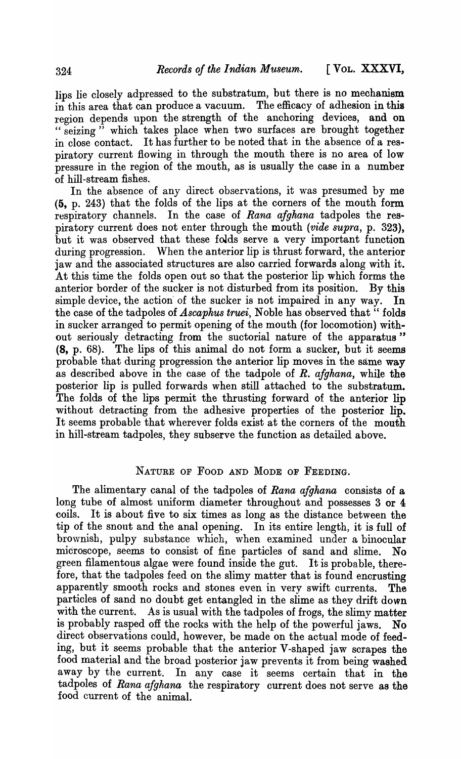lips lie closely adpressed to the substratum, but there is no mechanism in this area that can produce a vacuum. The efficacy of adhesion in this region depends upon the strength of the anchoring devices, and on " seizing" which takes place when two surfaces are brought together in close contact. It has further to be noted that in the absence of a respiratory current flowing in through the mouth there is no area of low pressure in the region of the mouth, as is usually the case in a number of hill-stream fishes.

In the absence of any direct observations, it was presumed by me (5, p. 243) that the folds of the lips at the corners of the mouth form respira tory channels. In the case of *Rana afghana* tadpoles the respiratory current does not enter through the mouth *(vide supra,* p. 323), but it was observed that these folds serve a very important function during progression. When the anterior lip is thrust forward, the anterior jaw and the associated structures are also carried forwards along with it. At this time the folds open out so that the posterior lip which forms the anterior border of the sucker is not disturbed from its position. By this simple device, the action' of the sucker is not impaired in any way. In the case of the tadpoles of *Ascaphus truei*, Noble has observed that "folds" in sucker arranged to permit opening of the mouth (for locomotion) without seriously detracting from the suctorial nature of the apparatus" (8, p. 68). The lips of this animal do not form a sucker, but it seems probable that during progression the anterior lip moves in the same way as described above in the case of the tadpole of *R. afghana,* while the posterior lip is pulled forwards when still attached to the substratum. The folds of the lips permit the thrusting forward of the anterior lip without detracting from the adhesive properties of the posterior lip. It seems probable that wherever folds exist at the corners of the mouth in hill-stream tadpoles, they subserve the function as detailed above.

## NATURE OF FOOD AND MODE OF FEEDING.

The alimentary canal of the tadpoles of *Rana afghana* consists of a long tube of almost uniform diameter throughout and possesses 3 or 4 coils. It is about five to six times as long as the distance between the tip of the snout and the anal opening. In its entire length, it is full of brownish, pulpy substance which, when examined under a binocular microscope, seems to consist of fine particles of sand and slime. No green filamentous algae were found inside the gut. It is probable, therefore, that the tadpoles feed on the slimy matter that is found encrusting apparently smooth rocks and stones even in very swift currents. The particles of sand no doubt get entangled in the slime as they drift down with the current. As is usual with the tadpoles of frogs, the slimy matter is probably rasped off the rocks with the help of the powerful jaws. No direct observations could, however, be made on the actual mode of feeding, but it seems probable that the anterior V -shaped jaw scrapes the food material and the broad posterior jaw prevents it from being washed away by the current. In any case it seems certain that in the tadpoles of *Rana afghana* the respiratory current does not serve as the food current of the animal.